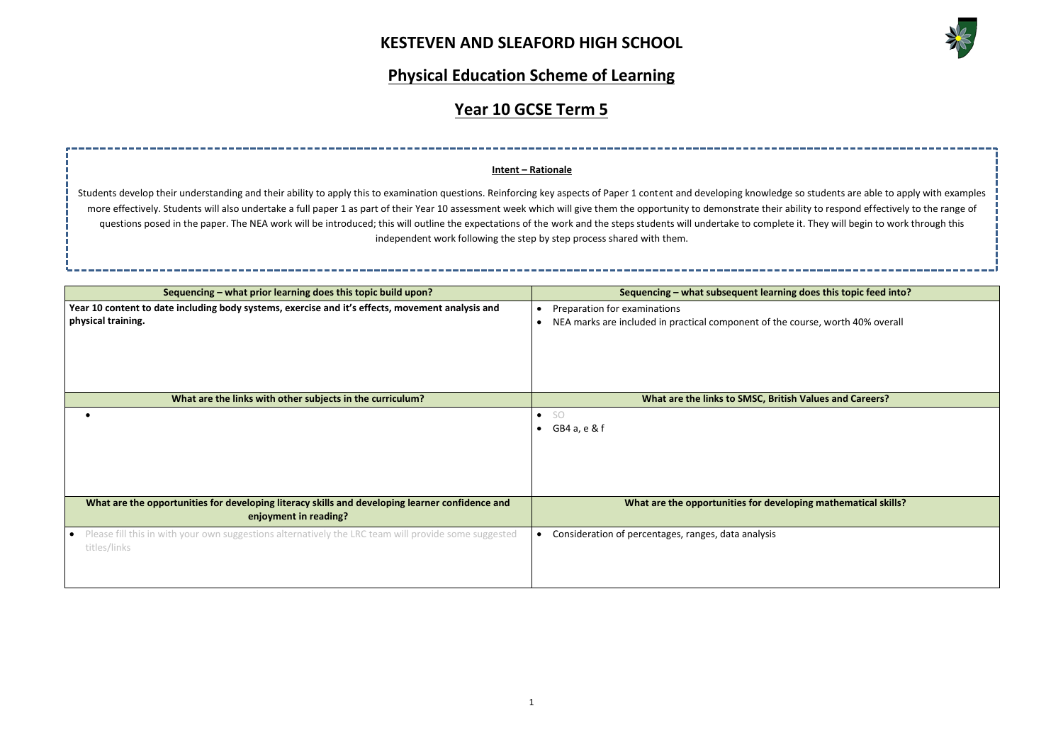# **KESTEVEN AND SLEAFORD HIGH SCHOOL**



**does this topic feed into?** urse, worth 40% overall **Walues and Careers? Ing mathematical skills?** 

## **Physical Education Scheme of Learning**

# **Year 10 GCSE Term 5**

| Sequencing - what prior learning does this topic build upon?                                                                      | Sequencing - what subsequent learning of                 |
|-----------------------------------------------------------------------------------------------------------------------------------|----------------------------------------------------------|
| Year 10 content to date including body systems, exercise and it's effects, movement analysis and<br>physical training.            | Preparation for examinations                             |
|                                                                                                                                   | NEA marks are included in practical component of the cou |
| What are the links with other subjects in the curriculum?                                                                         | What are the links to SMSC, British \                    |
|                                                                                                                                   | -SO<br>$\bullet$<br>GB4 a, e & f                         |
|                                                                                                                                   |                                                          |
| What are the opportunities for developing literacy skills and developing learner confidence and<br>enjoyment in reading?          | What are the opportunities for developi                  |
| Please fill this in with your own suggestions alternatively the LRC team will provide some suggested<br>$\bullet$<br>titles/links | Consideration of percentages, ranges, data analysis      |

Students develop their understanding and their ability to apply this to examination questions. Reinforcing key aspects of Paper 1 content and developing knowledge so students are able to apply with examples more effectively. Students will also undertake a full paper 1 as part of their Year 10 assessment week which will give them the opportunity to demonstrate their ability to respond effectively to the range of questions posed in the paper. The NEA work will be introduced; this will outline the expectations of the work and the steps students will undertake to complete it. They will begin to work through this independent work following the step by step process shared with them.

### **Intent – Rationale**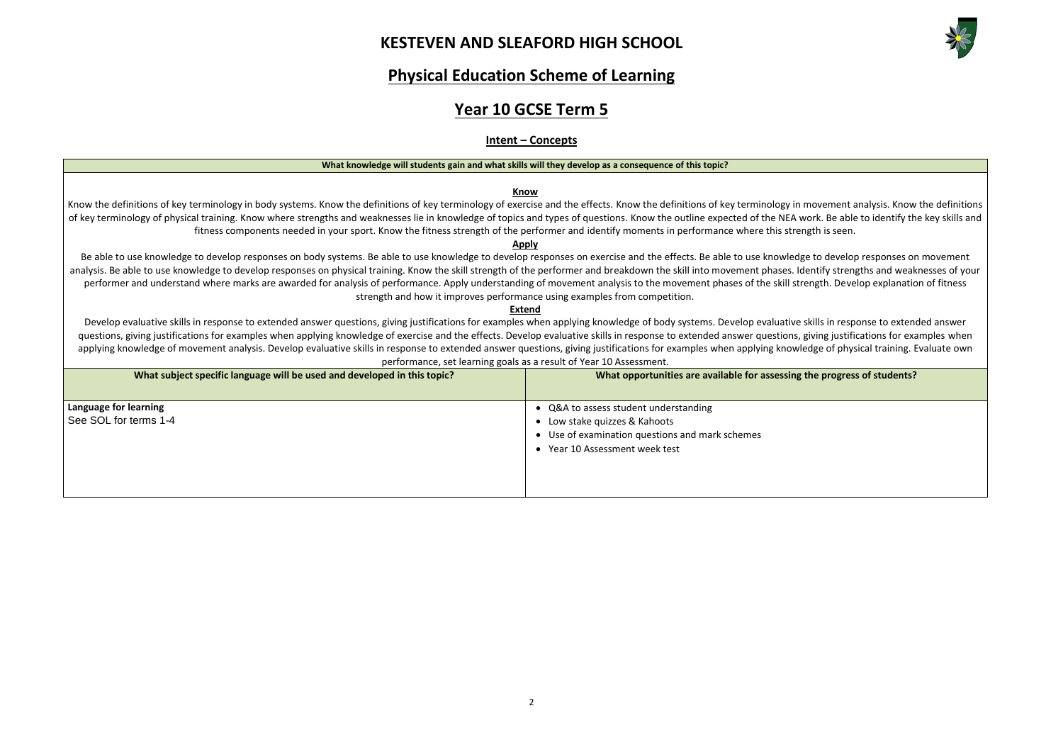# **KESTEVEN AND SLEAFORD HIGH SCHOOL**



## **Physical Education Scheme of Learning**

# **Year 10 GCSE Term 5**

### **Intent – Concepts**

#### **What knowledge will students gain and what skills will they develop as a consequence of this topic?**

### **Know**

Know the definitions of key terminology in body systems. Know the definitions of key terminology of exercise and the effects. Know the definitions of key terminology in movement analysis. Know the definitions of key terminology of physical training. Know where strengths and weaknesses lie in knowledge of topics and types of questions. Know the outline expected of the NEA work. Be able to identify the key skills and fitness components needed in your sport. Know the fitness strength of the performer and identify moments in performance where this strength is seen.

Be able to use knowledge to develop responses on body systems. Be able to use knowledge to develop responses on exercise and the effects. Be able to use knowledge to develop responses on movement analysis. Be able to use knowledge to develop responses on physical training. Know the skill strength of the performer and breakdown the skill into movement phases. Identify strengths and weaknesses of your performer and understand where marks are awarded for analysis of performance. Apply understanding of movement analysis to the movement phases of the skill strength. Develop explanation of fitness strength and how it improves performance using examples from competition.

### **Apply**

#### **Extend**

Develop evaluative skills in response to extended answer questions, giving justifications for examples when applying knowledge of body systems. Develop evaluative skills in response to extended answer questions, giving justifications for examples when applying knowledge of exercise and the effects. Develop evaluative skills in response to extended answer questions, giving justifications for examples when applying knowledge of movement analysis. Develop evaluative skills in response to extended answer questions, giving justifications for examples when applying knowledge of physical training. Evaluate own performance, set learning goals as a result of Year 10 Assessment.

| What subject specific language will be used and developed in this topic? | What opportunities are available for assessing the progress of students?                                                                                |
|--------------------------------------------------------------------------|---------------------------------------------------------------------------------------------------------------------------------------------------------|
| Language for learning<br>See SOL for terms 1-4                           | • Q&A to assess student understanding<br>Low stake quizzes & Kahoots<br>• Use of examination questions and mark schemes<br>Year 10 Assessment week test |